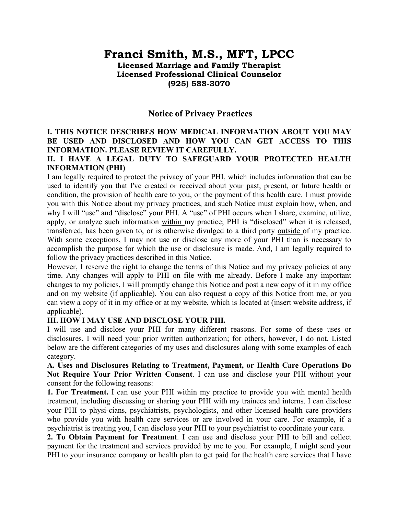# **Franci Smith, M.S., MFT, LPCC**

**Licensed Marriage and Family Therapist Licensed Professional Clinical Counselor (925) 588-3070**

# **Notice of Privacy Practices**

# **I. THIS NOTICE DESCRIBES HOW MEDICAL INFORMATION ABOUT YOU MAY BE USED AND DISCLOSED AND HOW YOU CAN GET ACCESS TO THIS INFORMATION. PLEASE REVIEW IT CAREFULLY.**

# **II. I HAVE A LEGAL DUTY TO SAFEGUARD YOUR PROTECTED HEALTH lNFORMATION (PHI)**

I am legally required to protect the privacy of your PHI, which includes information that can be used to identify you that I've created or received about your past, present, or future health or condition, the provision of health care to you, or the payment of this health care. I must provide you with this Notice about my privacy practices, and such Notice must explain how, when, and why I will "use" and "disclose" your PHI. A "use" of PHI occurs when I share, examine, utilize, apply, or analyze such information within my practice; PHI is "disclosed" when it is released, transferred, has been given to, or is otherwise divulged to a third party outside of my practice. With some exceptions, I may not use or disclose any more of your PHI than is necessary to accomplish the purpose for which the use or disclosure is made. And, I am legally required to follow the privacy practices described in this Notice.

However, I reserve the right to change the terms of this Notice and my privacy policies at any time. Any changes will apply to PHI on file with me already. Before I make any important changes to my policies, I will promptly change this Notice and post a new copy of it in my office and on my website (if applicable). You can also request a copy of this Notice from me, or you can view a copy of it in my office or at my website, which is located at (insert website address, if applicable).

#### **III. HOW I MAY USE AND DISCLOSE YOUR PHI.**

I will use and disclose your PHI for many different reasons. For some of these uses or disclosures, I will need your prior written authorization; for others, however, I do not. Listed below are the different categories of my uses and disclosures along with some examples of each category.

**A. Uses and Disclosures Relating to Treatment, Payment, or Health Care Operations Do Not Require Your Prior Written Consent**. I can use and disclose your PHI without your consent for the following reasons:

**1. For Treatment.** I can use your PHI within my practice to provide you with mental health treatment, including discussing or sharing your PHI with my trainees and interns. I can disclose your PHI to physi-cians, psychiatrists, psychologists, and other licensed health care providers who provide you with health care services or are involved in your care. For example, if a psychiatrist is treating you, I can disclose your PHI to your psychiatrist to coordinate your care.

**2. To Obtain Payment for Treatment**. I can use and disclose your PHI to bill and collect payment for the treatment and services provided by me to you. For example, I might send your PHI to your insurance company or health plan to get paid for the health care services that I have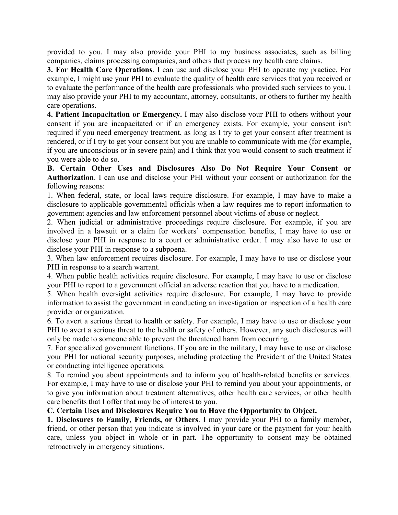provided to you. I may also provide your PHI to my business associates, such as billing companies, claims processing companies, and others that process my health care claims.

**3. For Health Care Operations**. I can use and disclose your PHI to operate my practice. For example, I might use your PHI to evaluate the quality of health care services that you received or to evaluate the performance of the health care professionals who provided such services to you. I may also provide your PHI to my accountant, attorney, consultants, or others to further my health care operations.

**4. Patient Incapacitation or Emergency.** I may also disclose your PHI to others without your consent if you are incapacitated or if an emergency exists. For example, your consent isn't required if you need emergency treatment, as long as I try to get your consent after treatment is rendered, or if I try to get your consent but you are unable to communicate with me (for example, if you are unconscious or in severe pain) and I think that you would consent to such treatment if you were able to do so.

**B. Certain Other Uses and Disclosures Also Do Not Require Your Consent or Authorization**. I can use and disclose your PHI without your consent or authorization for the following reasons:

1. When federal, state, or local laws require disclosure. For example, I may have to make a disclosure to applicable governmental officials when a law requires me to report information to government agencies and law enforcement personnel about victims of abuse or neglect.

2. When judicial or administrative proceedings require disclosure. For example, if you are involved in a lawsuit or a claim for workers' compensation benefits, I may have to use or disclose your PHI in response to a court or administrative order. I may also have to use or disclose your PHI in response to a subpoena.

3. When law enforcement requires disclosure. For example, I may have to use or disclose your PHI in response to a search warrant.

4. When public health activities require disclosure. For example, I may have to use or disclose your PHI to report to a government official an adverse reaction that you have to a medication.

5. When health oversight activities require disclosure. For example, I may have to provide information to assist the government in conducting an investigation or inspection of a health care provider or organization.

6. To avert a serious threat to health or safety. For example, I may have to use or disclose your PHI to avert a serious threat to the health or safety of others. However, any such disclosures will only be made to someone able to prevent the threatened harm from occurring.

7. For specialized government functions. If you are in the military, I may have to use or disclose your PHI for national security purposes, including protecting the President of the United States or conducting intelligence operations.

8. To remind you about appointments and to inform you of health-related benefits or services. For example, I may have to use or disclose your PHI to remind you about your appointments, or to give you information about treatment alternatives, other health care services, or other health care benefits that I offer that may be of interest to you.

#### **C. Certain Uses and Disclosures Require You to Have the Opportunity to Object.**

**1. Disclosures to Family, Friends, or Others**. I may provide your PHI to a family member, friend, or other person that you indicate is involved in your care or the payment for your health care, unless you object in whole or in part. The opportunity to consent may be obtained retroactively in emergency situations.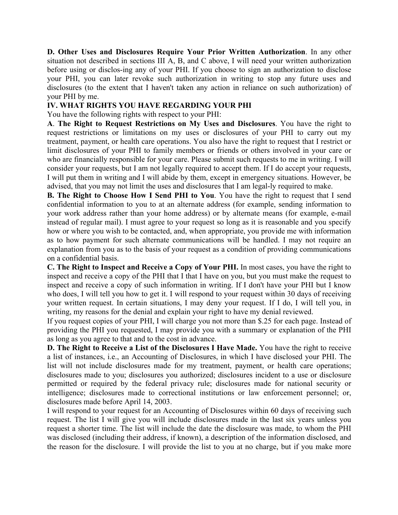**D. Other Uses and Disclosures Require Your Prior Written Authorization**. In any other situation not described in sections III A, B, and C above, I will need your written authorization before using or disclos-ing any of your PHI. If you choose to sign an authorization to disclose your PHI, you can later revoke such authorization in writing to stop any future uses and disclosures (to the extent that I haven't taken any action in reliance on such authorization) of your PHI by me.

### **IV. WHAT RIGHTS YOU HAVE REGARDING YOUR PHI**

You have the following rights with respect to your PHI:

**A**. **The Right to Request Restrictions on My Uses and Disclosures**. You have the right to request restrictions or limitations on my uses or disclosures of your PHI to carry out my treatment, payment, or health care operations. You also have the right to request that I restrict or limit disclosures of your PHI to family members or friends or others involved in your care or who are financially responsible for your care. Please submit such requests to me in writing. I will consider your requests, but I am not legally required to accept them. If I do accept your requests, I will put them in writing and I will abide by them, except in emergency situations. However, be advised, that you may not limit the uses and disclosures that I am legal-ly required to make.

**B. The Right to Choose How I Send PHI to You**. You have the right to request that I send confidential information to you to at an alternate address (for example, sending information to your work address rather than your home address) or by alternate means (for example, e-mail instead of regular mail). I must agree to your request so long as it is reasonable and you specify how or where you wish to be contacted, and, when appropriate, you provide me with information as to how payment for such alternate communications will be handled. I may not require an explanation from you as to the basis of your request as a condition of providing communications on a confidential basis.

**C. The Right to Inspect and Receive a Copy of Your PHI.** In most cases, you have the right to inspect and receive a copy of the PHI that I that I have on you, but you must make the request to inspect and receive a copy of such information in writing. If I don't have your PHI but I know who does, I will tell you how to get it. I will respond to your request within 30 days of receiving your written request. In certain situations, I may deny your request. If I do, I will tell you, in writing, my reasons for the denial and explain your right to have my denial reviewed.

If you request copies of your PHI, I will charge you not more than \$.25 for each page. Instead of providing the PHI you requested, I may provide you with a summary or explanation of the PHI as long as you agree to that and to the cost in advance.

**D. The Right to Receive a List of the Disclosures I Have Made.** You have the right to receive a list of instances, i.e., an Accounting of Disclosures, in which I have disclosed your PHI. The list will not include disclosures made for my treatment, payment, or health care operations; disclosures made to you; disclosures you authorized; disclosures incident to a use or disclosure permitted or required by the federal privacy rule; disclosures made for national security or intelligence; disclosures made to correctional institutions or law enforcement personnel; or, disclosures made before April 14, 2003.

I will respond to your request for an Accounting of Disclosures within 60 days of receiving such request. The list I will give you will include disclosures made in the last six years unless you request a shorter time. The list will include the date the disclosure was made, to whom the PHI was disclosed (including their address, if known), a description of the information disclosed, and the reason for the disclosure. I will provide the list to you at no charge, but if you make more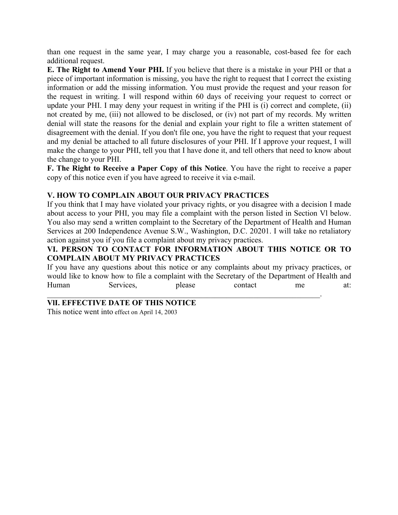than one request in the same year, I may charge you a reasonable, cost-based fee for each additional request.

**E. The Right to Amend Your PHI.** If you believe that there is a mistake in your PHI or that a piece of important information is missing, you have the right to request that I correct the existing information or add the missing information. You must provide the request and your reason for the request in writing. I will respond within 60 days of receiving your request to correct or update your PHI. I may deny your request in writing if the PHI is (i) correct and complete, (ii) not created by me, (iii) not allowed to be disclosed, or (iv) not part of my records. My written denial will state the reasons for the denial and explain your right to file a written statement of disagreement with the denial. If you don't file one, you have the right to request that your request and my denial be attached to all future disclosures of your PHI. If I approve your request, I will make the change to your PHI, tell you that I have done it, and tell others that need to know about the change to your PHI.

**F. The Right to Receive a Paper Copy of this Notice**. You have the right to receive a paper copy of this notice even if you have agreed to receive it via e-mail.

#### **V. HOW TO COMPLAIN ABOUT OUR PRIVACY PRACTICES**

If you think that I may have violated your privacy rights, or you disagree with a decision I made about access to your PHI, you may file a complaint with the person listed in Section Vl below. You also may send a written complaint to the Secretary of the Department of Health and Human Services at 200 Independence Avenue S.W., Washington, D.C. 20201. I will take no retaliatory action against you if you file a complaint about my privacy practices.

# **VI. PERSON TO CONTACT FOR INFORMATION ABOUT THIS NOTICE OR TO COMPLAIN ABOUT MY PRIVACY PRACTICES**

If you have any questions about this notice or any complaints about my privacy practices, or would like to know how to file a complaint with the Secretary of the Department of Health and Human Services, please contact me at:  $\mathcal{L}_\text{max}$  and  $\mathcal{L}_\text{max}$  and  $\mathcal{L}_\text{max}$  and  $\mathcal{L}_\text{max}$  and  $\mathcal{L}_\text{max}$  and  $\mathcal{L}_\text{max}$ 

#### **VlI. EFFECTIVE DATE OF THIS NOTICE**

This notice went into effect on April 14, 2003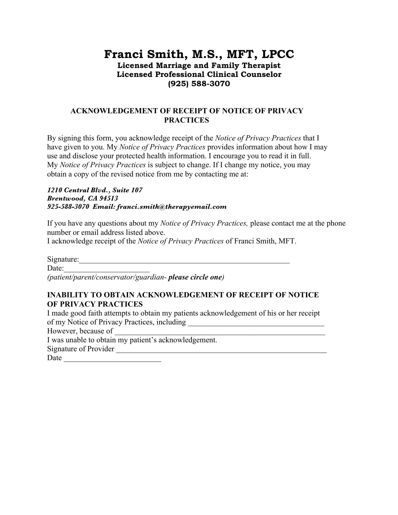# **Franci Smith, M.S., MFT, LPCC Licensed Marriage and Family Therapist Licensed Professional Clinical Counselor (925) 588-3070**

# **ACKNOWLEDGEMENT OF RECEIPT OF NOTICE OF PRIVACY PRACTICES**

By signing this form, you acknowledge receipt of the *Notice of Privacy Practices* that I have given to you. My *Notice of Privacy Practices* provides information about how I may use and disclose your protected health information. I encourage you to read it in full. My *Notice of Privacy Practices* is subject to change. If I change my notice, you may obtain a copy of the revised notice from me by contacting me at:

*1210 Central Blvd., Suite 107 Brentwood, CA 94513 925-588-3070 Email: franci.smith@therapyemail.com* 

If you have any questions about my *Notice of Privacy Practices,* please contact me at the phone number or email address listed above.

I acknowledge receipt of the *Notice of Privacy Practices* of Franci Smith, MFT.

Signature:

Date:

*(patient/parent/conservator/guardian- please circle one)*

# **INABILITY TO OBTAIN ACKNOWLEDGEMENT OF RECEIPT OF NOTICE OF PRIVACY PRACTICES**

I made good faith attempts to obtain my patients acknowledgement of his or her receipt of my Notice of Privacy Practices, including

However, because of

I was unable to obtain my patient's acknowledgement.

Signature of Provider \_\_\_\_\_\_\_\_\_\_\_\_\_\_\_\_\_\_\_\_\_\_\_\_\_\_\_\_\_\_\_\_\_\_\_\_\_\_\_\_\_\_\_\_\_\_\_\_\_\_\_\_\_\_

Date \_\_\_\_\_\_\_\_\_\_\_\_\_\_\_\_\_\_\_\_\_\_\_\_\_